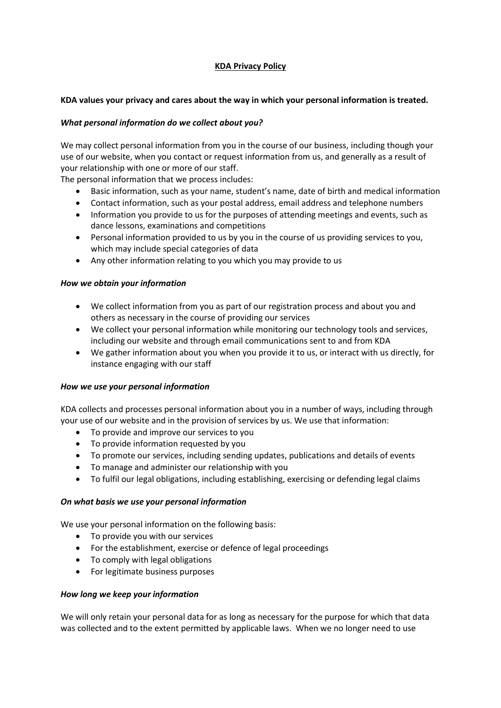# **KDA Privacy Policy**

### **KDA values your privacy and cares about the way in which your personal information is treated.**

### *What personal information do we collect about you?*

We may collect personal information from you in the course of our business, including though your use of our website, when you contact or request information from us, and generally as a result of your relationship with one or more of our staff.

The personal information that we process includes:

- Basic information, such as your name, student's name, date of birth and medical information
- Contact information, such as your postal address, email address and telephone numbers
- Information you provide to us for the purposes of attending meetings and events, such as dance lessons, examinations and competitions
- Personal information provided to us by you in the course of us providing services to you, which may include special categories of data
- Any other information relating to you which you may provide to us

# *How we obtain your information*

- We collect information from you as part of our registration process and about you and others as necessary in the course of providing our services
- We collect your personal information while monitoring our technology tools and services, including our website and through email communications sent to and from KDA
- We gather information about you when you provide it to us, or interact with us directly, for instance engaging with our staff

#### *How we use your personal information*

KDA collects and processes personal information about you in a number of ways, including through your use of our website and in the provision of services by us. We use that information:

- To provide and improve our services to you
- To provide information requested by you
- To promote our services, including sending updates, publications and details of events
- To manage and administer our relationship with you
- To fulfil our legal obligations, including establishing, exercising or defending legal claims

#### *On what basis we use your personal information*

We use your personal information on the following basis:

- To provide you with our services
- For the establishment, exercise or defence of legal proceedings
- To comply with legal obligations
- For legitimate business purposes

#### *How long we keep your information*

We will only retain your personal data for as long as necessary for the purpose for which that data was collected and to the extent permitted by applicable laws. When we no longer need to use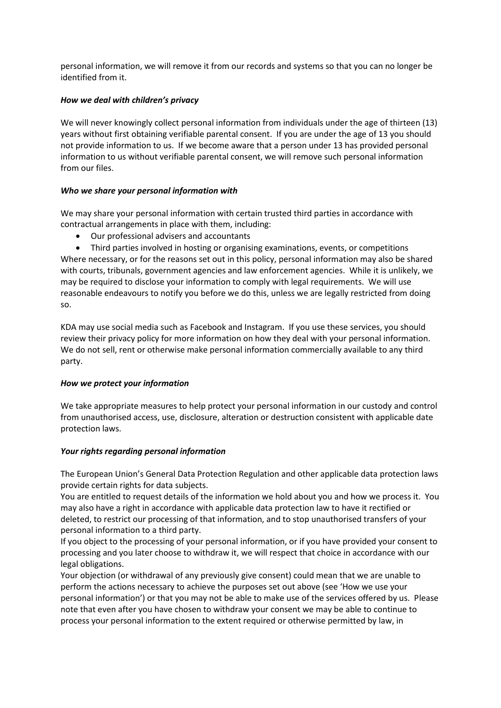personal information, we will remove it from our records and systems so that you can no longer be identified from it.

# *How we deal with children's privacy*

We will never knowingly collect personal information from individuals under the age of thirteen (13) years without first obtaining verifiable parental consent. If you are under the age of 13 you should not provide information to us. If we become aware that a person under 13 has provided personal information to us without verifiable parental consent, we will remove such personal information from our files.

# *Who we share your personal information with*

We may share your personal information with certain trusted third parties in accordance with contractual arrangements in place with them, including:

- Our professional advisers and accountants
- Third parties involved in hosting or organising examinations, events, or competitions

Where necessary, or for the reasons set out in this policy, personal information may also be shared with courts, tribunals, government agencies and law enforcement agencies. While it is unlikely, we may be required to disclose your information to comply with legal requirements. We will use reasonable endeavours to notify you before we do this, unless we are legally restricted from doing so.

KDA may use social media such as Facebook and Instagram. If you use these services, you should review their privacy policy for more information on how they deal with your personal information. We do not sell, rent or otherwise make personal information commercially available to any third party.

#### *How we protect your information*

We take appropriate measures to help protect your personal information in our custody and control from unauthorised access, use, disclosure, alteration or destruction consistent with applicable date protection laws.

#### *Your rights regarding personal information*

The European Union's General Data Protection Regulation and other applicable data protection laws provide certain rights for data subjects.

You are entitled to request details of the information we hold about you and how we process it. You may also have a right in accordance with applicable data protection law to have it rectified or deleted, to restrict our processing of that information, and to stop unauthorised transfers of your personal information to a third party.

If you object to the processing of your personal information, or if you have provided your consent to processing and you later choose to withdraw it, we will respect that choice in accordance with our legal obligations.

Your objection (or withdrawal of any previously give consent) could mean that we are unable to perform the actions necessary to achieve the purposes set out above (see 'How we use your personal information') or that you may not be able to make use of the services offered by us. Please note that even after you have chosen to withdraw your consent we may be able to continue to process your personal information to the extent required or otherwise permitted by law, in